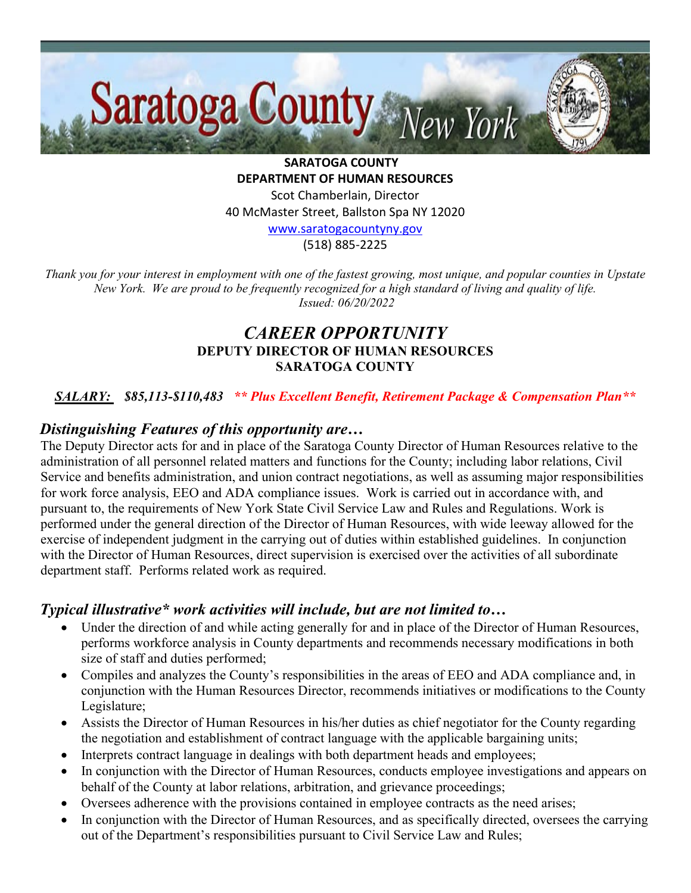

**SARATOGA COUNTY DEPARTMENT OF HUMAN RESOURCES** Scot Chamberlain, Director 40 McMaster Street, Ballston Spa NY 12020 [www.saratogacountyny.gov](http://www.saratogacountyny.gov/)

(518) 885-2225

*Thank you for your interest in employment with one of the fastest growing, most unique, and popular counties in Upstate New York. We are proud to be frequently recognized for a high standard of living and quality of life. Issued: 06/20/2022* 

# *CAREER OPPORTUNITY*  **DEPUTY DIRECTOR OF HUMAN RESOURCES SARATOGA COUNTY**

# *SALARY: \$85,113-\$110,483 \*\* Plus Excellent Benefit, Retirement Package & Compensation Plan\*\**

### *Distinguishing Features of this opportunity are…*

The Deputy Director acts for and in place of the Saratoga County Director of Human Resources relative to the administration of all personnel related matters and functions for the County; including labor relations, Civil Service and benefits administration, and union contract negotiations, as well as assuming major responsibilities for work force analysis, EEO and ADA compliance issues. Work is carried out in accordance with, and pursuant to, the requirements of New York State Civil Service Law and Rules and Regulations. Work is performed under the general direction of the Director of Human Resources, with wide leeway allowed for the exercise of independent judgment in the carrying out of duties within established guidelines. In conjunction with the Director of Human Resources, direct supervision is exercised over the activities of all subordinate department staff. Performs related work as required.

# *Typical illustrative\* work activities will include, but are not limited to…*

- Under the direction of and while acting generally for and in place of the Director of Human Resources, performs workforce analysis in County departments and recommends necessary modifications in both size of staff and duties performed;
- Compiles and analyzes the County's responsibilities in the areas of EEO and ADA compliance and, in conjunction with the Human Resources Director, recommends initiatives or modifications to the County Legislature;
- Assists the Director of Human Resources in his/her duties as chief negotiator for the County regarding the negotiation and establishment of contract language with the applicable bargaining units;
- Interprets contract language in dealings with both department heads and employees;
- In conjunction with the Director of Human Resources, conducts employee investigations and appears on behalf of the County at labor relations, arbitration, and grievance proceedings;
- Oversees adherence with the provisions contained in employee contracts as the need arises;
- In conjunction with the Director of Human Resources, and as specifically directed, oversees the carrying out of the Department's responsibilities pursuant to Civil Service Law and Rules;